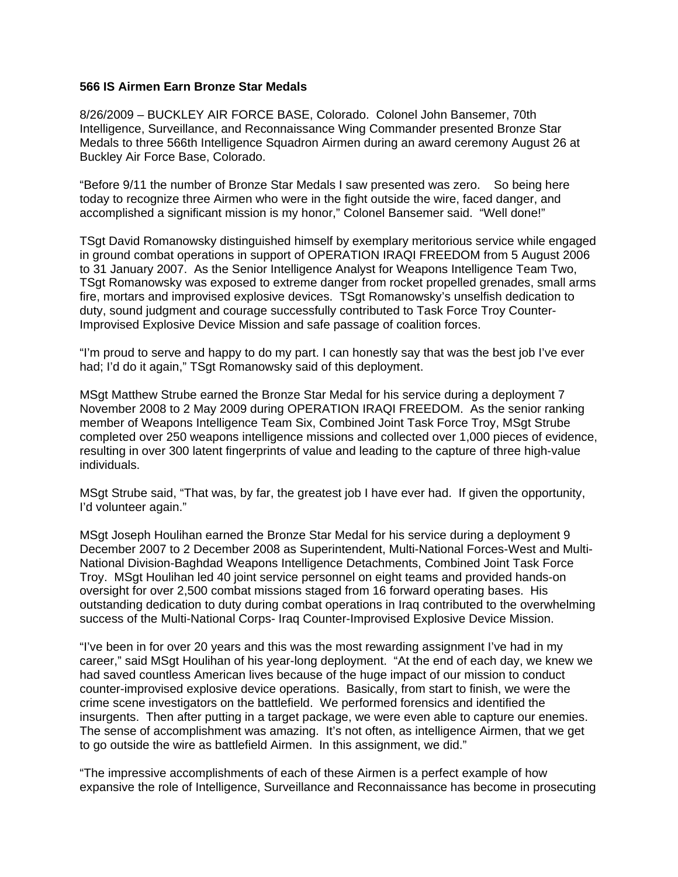## **566 IS Airmen Earn Bronze Star Medals**

8/26/2009 – BUCKLEY AIR FORCE BASE, Colorado. Colonel John Bansemer, 70th Intelligence, Surveillance, and Reconnaissance Wing Commander presented Bronze Star Medals to three 566th Intelligence Squadron Airmen during an award ceremony August 26 at Buckley Air Force Base, Colorado.

"Before 9/11 the number of Bronze Star Medals I saw presented was zero. So being here today to recognize three Airmen who were in the fight outside the wire, faced danger, and accomplished a significant mission is my honor," Colonel Bansemer said. "Well done!"

TSgt David Romanowsky distinguished himself by exemplary meritorious service while engaged in ground combat operations in support of OPERATION IRAQI FREEDOM from 5 August 2006 to 31 January 2007. As the Senior Intelligence Analyst for Weapons Intelligence Team Two, TSgt Romanowsky was exposed to extreme danger from rocket propelled grenades, small arms fire, mortars and improvised explosive devices. TSgt Romanowsky's unselfish dedication to duty, sound judgment and courage successfully contributed to Task Force Troy Counter-Improvised Explosive Device Mission and safe passage of coalition forces.

"I'm proud to serve and happy to do my part. I can honestly say that was the best job I've ever had; I'd do it again," TSgt Romanowsky said of this deployment.

MSgt Matthew Strube earned the Bronze Star Medal for his service during a deployment 7 November 2008 to 2 May 2009 during OPERATION IRAQI FREEDOM. As the senior ranking member of Weapons Intelligence Team Six, Combined Joint Task Force Troy, MSgt Strube completed over 250 weapons intelligence missions and collected over 1,000 pieces of evidence, resulting in over 300 latent fingerprints of value and leading to the capture of three high-value individuals.

MSgt Strube said, "That was, by far, the greatest job I have ever had. If given the opportunity, I'd volunteer again."

MSgt Joseph Houlihan earned the Bronze Star Medal for his service during a deployment 9 December 2007 to 2 December 2008 as Superintendent, Multi-National Forces-West and Multi-National Division-Baghdad Weapons Intelligence Detachments, Combined Joint Task Force Troy. MSgt Houlihan led 40 joint service personnel on eight teams and provided hands-on oversight for over 2,500 combat missions staged from 16 forward operating bases. His outstanding dedication to duty during combat operations in Iraq contributed to the overwhelming success of the Multi-National Corps- Iraq Counter-Improvised Explosive Device Mission.

"I've been in for over 20 years and this was the most rewarding assignment I've had in my career," said MSgt Houlihan of his year-long deployment. "At the end of each day, we knew we had saved countless American lives because of the huge impact of our mission to conduct counter-improvised explosive device operations. Basically, from start to finish, we were the crime scene investigators on the battlefield. We performed forensics and identified the insurgents. Then after putting in a target package, we were even able to capture our enemies. The sense of accomplishment was amazing. It's not often, as intelligence Airmen, that we get to go outside the wire as battlefield Airmen. In this assignment, we did."

"The impressive accomplishments of each of these Airmen is a perfect example of how expansive the role of Intelligence, Surveillance and Reconnaissance has become in prosecuting